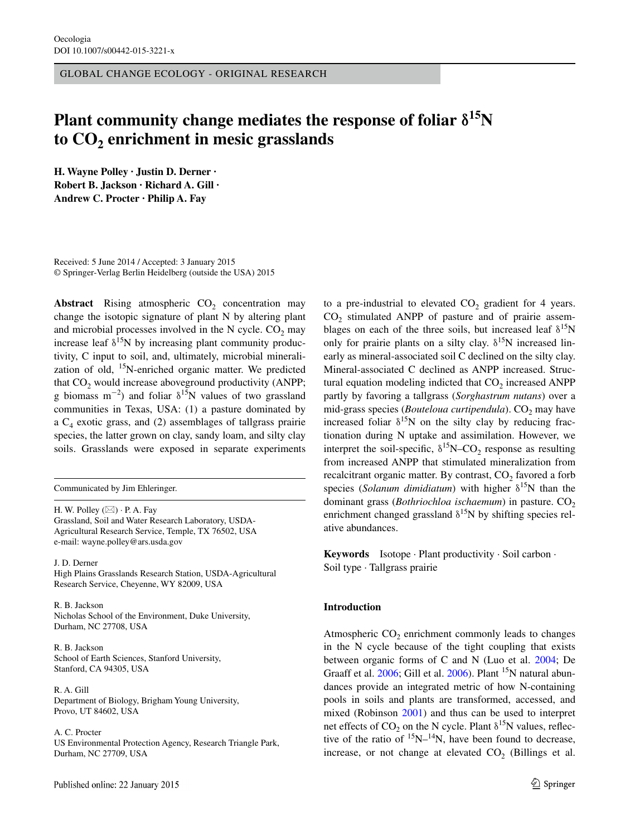GLOBAL CHANGE ECOLOGY - ORIGINAL RESEARCH

# **Plant community change mediates the response of foliar** δ**15N**  to  $CO$ <sub>2</sub> enrichment in mesic grasslands

**H. Wayne Polley · Justin D. Derner · Robert B. Jackson · Richard A. Gill · Andrew C. Procter · Philip A. Fay**

Received: 5 June 2014 / Accepted: 3 January 2015 © Springer-Verlag Berlin Heidelberg (outside the USA) 2015

**Abstract** Rising atmospheric  $CO<sub>2</sub>$  concentration may change the isotopic signature of plant N by altering plant and microbial processes involved in the N cycle.  $CO<sub>2</sub>$  may increase leaf  $\delta^{15}N$  by increasing plant community productivity, C input to soil, and, ultimately, microbial mineralization of old,  $15N$ -enriched organic matter. We predicted that  $CO<sub>2</sub>$  would increase aboveground productivity (ANPP; g biomass m<sup>-2</sup>) and foliar  $\delta^{15}N$  values of two grassland communities in Texas, USA: (1) a pasture dominated by a  $C_4$  exotic grass, and (2) assemblages of tallgrass prairie species, the latter grown on clay, sandy loam, and silty clay soils. Grasslands were exposed in separate experiments

Communicated by Jim Ehleringer.

H. W. Polley  $(\boxtimes) \cdot P$ . A. Fay Grassland, Soil and Water Research Laboratory, USDA-Agricultural Research Service, Temple, TX 76502, USA e-mail: wayne.polley@ars.usda.gov

J. D. Derner High Plains Grasslands Research Station, USDA-Agricultural Research Service, Cheyenne, WY 82009, USA

R. B. Jackson Nicholas School of the Environment, Duke University, Durham, NC 27708, USA

R. B. Jackson School of Earth Sciences, Stanford University, Stanford, CA 94305, USA

R. A. Gill Department of Biology, Brigham Young University, Provo, UT 84602, USA

A. C. Procter

US Environmental Protection Agency, Research Triangle Park, Durham, NC 27709, USA

to a pre-industrial to elevated  $CO<sub>2</sub>$  gradient for 4 years.  $CO<sub>2</sub>$  stimulated ANPP of pasture and of prairie assemblages on each of the three soils, but increased leaf  $\delta^{15}N$ only for prairie plants on a silty clay.  $\delta^{15}N$  increased linearly as mineral-associated soil C declined on the silty clay. Mineral-associated C declined as ANPP increased. Structural equation modeling indicted that  $CO<sub>2</sub>$  increased ANPP partly by favoring a tallgrass (*Sorghastrum nutans*) over a mid-grass species (*Bouteloua curtipendula*). CO<sub>2</sub> may have increased foliar  $\delta^{15}N$  on the silty clay by reducing fractionation during N uptake and assimilation. However, we interpret the soil-specific,  $\delta^{15}N$ –CO<sub>2</sub> response as resulting from increased ANPP that stimulated mineralization from recalcitrant organic matter. By contrast, CO<sub>2</sub> favored a forb species (*Solanum dimidiatum*) with higher  $\delta^{15}N$  than the dominant grass (*Bothriochloa ischaemum*) in pasture. CO<sub>2</sub> enrichment changed grassland  $\delta^{15}N$  by shifting species relative abundances.

**Keywords** Isotope · Plant productivity · Soil carbon · Soil type · Tallgrass prairie

# **Introduction**

Atmospheric  $CO<sub>2</sub>$  enrichment commonly leads to changes in the N cycle because of the tight coupling that exists between organic forms of C and N (Luo et al. [2004;](#page-10-0) De Graaff et al. [2006;](#page-9-0) Gill et al. [2006\)](#page-9-1). Plant <sup>15</sup>N natural abundances provide an integrated metric of how N-containing pools in soils and plants are transformed, accessed, and mixed (Robinson [2001](#page-10-1)) and thus can be used to interpret net effects of  $CO_2$  on the N cycle. Plant  $\delta^{15}N$  values, reflective of the ratio of  $15N-14N$ , have been found to decrease, increase, or not change at elevated  $CO<sub>2</sub>$  (Billings et al.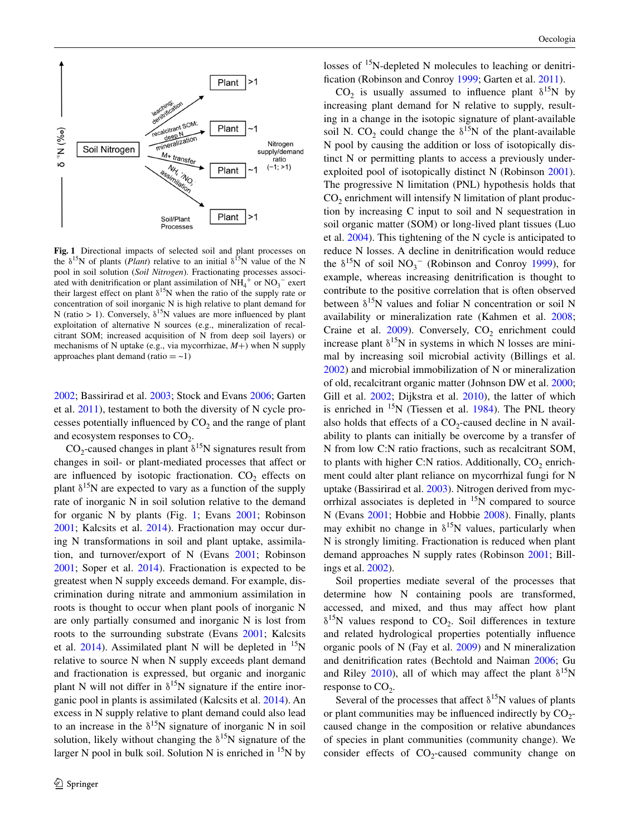

<span id="page-1-0"></span>**Fig. 1** Directional impacts of selected soil and plant processes on the  $\delta^{15}N$  of plants (*Plant*) relative to an initial  $\delta^{15}N$  value of the N pool in soil solution (*Soil Nitrogen*). Fractionating processes associated with denitrification or plant assimilation of  $NH_4^+$  or  $NO_3^-$  exert their largest effect on plant  $\delta^{15}N$  when the ratio of the supply rate or concentration of soil inorganic N is high relative to plant demand for N (ratio > 1). Conversely,  $\delta^{15}N$  values are more influenced by plant exploitation of alternative N sources (e.g., mineralization of recalcitrant SOM; increased acquisition of N from deep soil layers) or mechanisms of N uptake (e.g., via mycorrhizae, *M*+) when N supply approaches plant demand (ratio  $=$   $\sim$  1)

[2002](#page-9-2); Bassirirad et al. [2003;](#page-9-3) Stock and Evans [2006;](#page-10-2) Garten et al. [2011\)](#page-9-4), testament to both the diversity of N cycle processes potentially influenced by  $CO<sub>2</sub>$  and the range of plant and ecosystem responses to  $CO<sub>2</sub>$ .

 $CO_2$ -caused changes in plant  $\delta^{15}N$  signatures result from changes in soil- or plant-mediated processes that affect or are influenced by isotopic fractionation.  $CO<sub>2</sub>$  effects on plant  $\delta^{15}$ N are expected to vary as a function of the supply rate of inorganic N in soil solution relative to the demand for organic N by plants (Fig. [1;](#page-1-0) Evans [2001](#page-9-5); Robinson [2001](#page-10-1); Kalcsits et al. [2014\)](#page-10-3). Fractionation may occur during N transformations in soil and plant uptake, assimilation, and turnover/export of N (Evans [2001](#page-9-5); Robinson [2001](#page-10-1); Soper et al. [2014](#page-10-4)). Fractionation is expected to be greatest when N supply exceeds demand. For example, discrimination during nitrate and ammonium assimilation in roots is thought to occur when plant pools of inorganic N are only partially consumed and inorganic N is lost from roots to the surrounding substrate (Evans [2001;](#page-9-5) Kalcsits et al.  $2014$ ). Assimilated plant N will be depleted in <sup>15</sup>N relative to source N when N supply exceeds plant demand and fractionation is expressed, but organic and inorganic plant N will not differ in  $\delta^{15}N$  signature if the entire inorganic pool in plants is assimilated (Kalcsits et al. [2014](#page-10-3)). An excess in N supply relative to plant demand could also lead to an increase in the  $\delta^{15}N$  signature of inorganic N in soil solution, likely without changing the  $\delta^{15}N$  signature of the larger N pool in bulk soil. Solution N is enriched in  ${}^{15}N$  by

losses of 15N-depleted N molecules to leaching or denitrification (Robinson and Conroy [1999](#page-10-5); Garten et al. [2011](#page-9-4)).

CO<sub>2</sub> is usually assumed to influence plant  $\delta^{15}N$  by increasing plant demand for N relative to supply, resulting in a change in the isotopic signature of plant-available soil N. CO<sub>2</sub> could change the  $\delta^{15}N$  of the plant-available N pool by causing the addition or loss of isotopically distinct N or permitting plants to access a previously underexploited pool of isotopically distinct N (Robinson [2001](#page-10-1)). The progressive N limitation (PNL) hypothesis holds that  $CO<sub>2</sub>$  enrichment will intensify N limitation of plant production by increasing C input to soil and N sequestration in soil organic matter (SOM) or long-lived plant tissues (Luo et al. [2004\)](#page-10-0). This tightening of the N cycle is anticipated to reduce N losses. A decline in denitrification would reduce the  $\delta^{15}N$  of soil  $NO_3^-$  (Robinson and Conroy [1999\)](#page-10-5), for example, whereas increasing denitrification is thought to contribute to the positive correlation that is often observed between  $\delta^{15}N$  values and foliar N concentration or soil N availability or mineralization rate (Kahmen et al. [2008](#page-10-6); Craine et al.  $2009$ ). Conversely,  $CO<sub>2</sub>$  enrichment could increase plant  $\delta^{15}N$  in systems in which N losses are minimal by increasing soil microbial activity (Billings et al. [2002](#page-9-2)) and microbial immobilization of N or mineralization of old, recalcitrant organic matter (Johnson DW et al. [2000](#page-10-7); Gill et al. [2002](#page-9-7); Dijkstra et al. [2010\)](#page-9-8), the latter of which is enriched in  $15N$  (Tiessen et al. [1984\)](#page-10-8). The PNL theory also holds that effects of a  $CO<sub>2</sub>$ -caused decline in N availability to plants can initially be overcome by a transfer of N from low C:N ratio fractions, such as recalcitrant SOM, to plants with higher C:N ratios. Additionally,  $CO<sub>2</sub>$  enrichment could alter plant reliance on mycorrhizal fungi for N uptake (Bassirirad et al. [2003](#page-9-3)). Nitrogen derived from mycorrhizal associates is depleted in  ${}^{15}N$  compared to source N (Evans [2001;](#page-9-5) Hobbie and Hobbie [2008\)](#page-10-9). Finally, plants may exhibit no change in  $\delta^{15}N$  values, particularly when N is strongly limiting. Fractionation is reduced when plant demand approaches N supply rates (Robinson [2001](#page-10-1); Billings et al. [2002](#page-9-2)).

Soil properties mediate several of the processes that determine how N containing pools are transformed, accessed, and mixed, and thus may affect how plant  $\delta^{15}$ N values respond to CO<sub>2</sub>. Soil differences in texture and related hydrological properties potentially influence organic pools of N (Fay et al. [2009\)](#page-9-9) and N mineralization and denitrification rates (Bechtold and Naiman [2006](#page-9-10); Gu and Riley [2010\)](#page-10-10), all of which may affect the plant  $\delta^{15}N$ response to  $CO<sub>2</sub>$ .

Several of the processes that affect  $\delta^{15}N$  values of plants or plant communities may be influenced indirectly by  $CO_2$ caused change in the composition or relative abundances of species in plant communities (community change). We consider effects of  $CO_2$ -caused community change on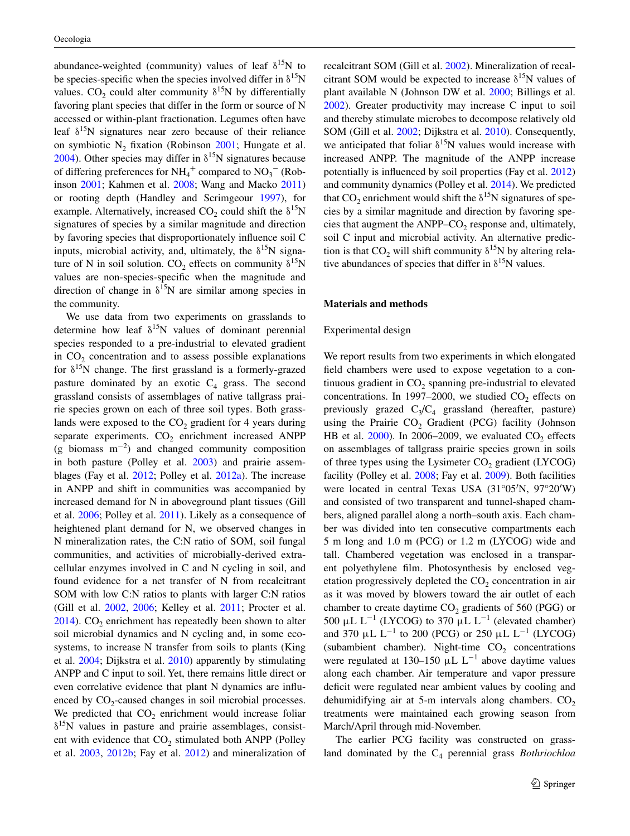abundance-weighted (community) values of leaf  $\delta^{15}N$  to be species-specific when the species involved differ in  $\delta^{15}N$ values. CO<sub>2</sub> could alter community  $\delta^{15}N$  by differentially favoring plant species that differ in the form or source of N accessed or within-plant fractionation. Legumes often have leaf  $\delta^{15}$ N signatures near zero because of their reliance on symbiotic  $N_2$  fixation (Robinson [2001;](#page-10-1) Hungate et al. [2004](#page-10-11)). Other species may differ in  $\delta^{15}N$  signatures because of differing preferences for  $NH_4^+$  compared to  $NO_3^-$  (Robinson [2001](#page-10-1); Kahmen et al. [2008;](#page-10-6) Wang and Macko [2011\)](#page-10-12) or rooting depth (Handley and Scrimgeour [1997](#page-10-13)), for example. Alternatively, increased  $CO_2$  could shift the  $\delta^{15}N$ signatures of species by a similar magnitude and direction by favoring species that disproportionately influence soil C inputs, microbial activity, and, ultimately, the  $\delta^{15}N$  signature of N in soil solution. CO<sub>2</sub> effects on community  $\delta^{15}N$ values are non-species-specific when the magnitude and direction of change in  $\delta^{15}N$  are similar among species in the community.

We use data from two experiments on grasslands to determine how leaf  $\delta^{15}N$  values of dominant perennial species responded to a pre-industrial to elevated gradient in  $CO<sub>2</sub>$  concentration and to assess possible explanations for  $\delta^{15}$ N change. The first grassland is a formerly-grazed pasture dominated by an exotic  $C_4$  grass. The second grassland consists of assemblages of native tallgrass prairie species grown on each of three soil types. Both grasslands were exposed to the  $CO<sub>2</sub>$  gradient for 4 years during separate experiments.  $CO<sub>2</sub>$  enrichment increased ANPP  $(g \text{biomass } m^{-2})$  and changed community composition in both pasture (Polley et al. [2003](#page-10-14)) and prairie assemblages (Fay et al. [2012](#page-9-11); Polley et al. [2012a](#page-10-15)). The increase in ANPP and shift in communities was accompanied by increased demand for N in aboveground plant tissues (Gill et al. [2006;](#page-9-1) Polley et al. [2011\)](#page-10-16). Likely as a consequence of heightened plant demand for N, we observed changes in N mineralization rates, the C:N ratio of SOM, soil fungal communities, and activities of microbially-derived extracellular enzymes involved in C and N cycling in soil, and found evidence for a net transfer of N from recalcitrant SOM with low C:N ratios to plants with larger C:N ratios (Gill et al. [2002](#page-9-7), [2006;](#page-9-1) Kelley et al. [2011](#page-10-17); Procter et al.  $2014$ ). CO<sub>2</sub> enrichment has repeatedly been shown to alter soil microbial dynamics and N cycling and, in some ecosystems, to increase N transfer from soils to plants (King et al. [2004](#page-10-19); Dijkstra et al. [2010](#page-9-8)) apparently by stimulating ANPP and C input to soil. Yet, there remains little direct or even correlative evidence that plant N dynamics are influenced by  $CO<sub>2</sub>$ -caused changes in soil microbial processes. We predicted that  $CO<sub>2</sub>$  enrichment would increase foliar  $\delta^{15}$ N values in pasture and prairie assemblages, consistent with evidence that  $CO<sub>2</sub>$  stimulated both ANPP (Polley et al. [2003](#page-10-14), [2012b](#page-10-20); Fay et al. [2012\)](#page-9-11) and mineralization of

recalcitrant SOM (Gill et al. [2002](#page-9-7)). Mineralization of recalcitrant SOM would be expected to increase  $\delta^{15}$ N values of plant available N (Johnson DW et al. [2000;](#page-10-7) Billings et al. [2002](#page-9-2)). Greater productivity may increase C input to soil and thereby stimulate microbes to decompose relatively old SOM (Gill et al. [2002](#page-9-7); Dijkstra et al. [2010\)](#page-9-8). Consequently, we anticipated that foliar  $\delta^{15}N$  values would increase with increased ANPP. The magnitude of the ANPP increase potentially is influenced by soil properties (Fay et al. [2012\)](#page-9-11) and community dynamics (Polley et al. [2014\)](#page-10-21). We predicted that CO<sub>2</sub> enrichment would shift the  $\delta^{15}N$  signatures of species by a similar magnitude and direction by favoring species that augment the ANPP– $CO<sub>2</sub>$  response and, ultimately, soil C input and microbial activity. An alternative prediction is that  $CO_2$  will shift community  $\delta^{15}N$  by altering relative abundances of species that differ in  $\delta^{15}N$  values.

#### **Materials and methods**

#### Experimental design

We report results from two experiments in which elongated field chambers were used to expose vegetation to a continuous gradient in  $CO<sub>2</sub>$  spanning pre-industrial to elevated concentrations. In 1997–2000, we studied  $CO<sub>2</sub>$  effects on previously grazed  $C_3/C_4$  grassland (hereafter, pasture) using the Prairie  $CO<sub>2</sub>$  Gradient (PCG) facility (Johnson HB et al. [2000\)](#page-10-22). In 2006–2009, we evaluated  $CO<sub>2</sub>$  effects on assemblages of tallgrass prairie species grown in soils of three types using the Lysimeter  $CO<sub>2</sub>$  gradient (LYCOG) facility (Polley et al. [2008](#page-10-23); Fay et al. [2009\)](#page-9-9). Both facilities were located in central Texas USA (31°05′N, 97°20′W) and consisted of two transparent and tunnel-shaped chambers, aligned parallel along a north–south axis. Each chamber was divided into ten consecutive compartments each 5 m long and 1.0 m (PCG) or 1.2 m (LYCOG) wide and tall. Chambered vegetation was enclosed in a transparent polyethylene film. Photosynthesis by enclosed vegetation progressively depleted the  $CO<sub>2</sub>$  concentration in air as it was moved by blowers toward the air outlet of each chamber to create daytime  $CO<sub>2</sub>$  gradients of 560 (PGG) or 500 μL  $L^{-1}$  (LYCOG) to 370 μL  $L^{-1}$  (elevated chamber) and 370  $\mu$ L L<sup>-1</sup> to 200 (PCG) or 250  $\mu$ L L<sup>-1</sup> (LYCOG) (subambient chamber). Night-time  $CO<sub>2</sub>$  concentrations were regulated at 130–150  $\mu$ L L<sup>-1</sup> above daytime values along each chamber. Air temperature and vapor pressure deficit were regulated near ambient values by cooling and dehumidifying air at 5-m intervals along chambers.  $CO<sub>2</sub>$ treatments were maintained each growing season from March/April through mid-November.

The earlier PCG facility was constructed on grassland dominated by the C<sub>4</sub> perennial grass *Bothriochloa*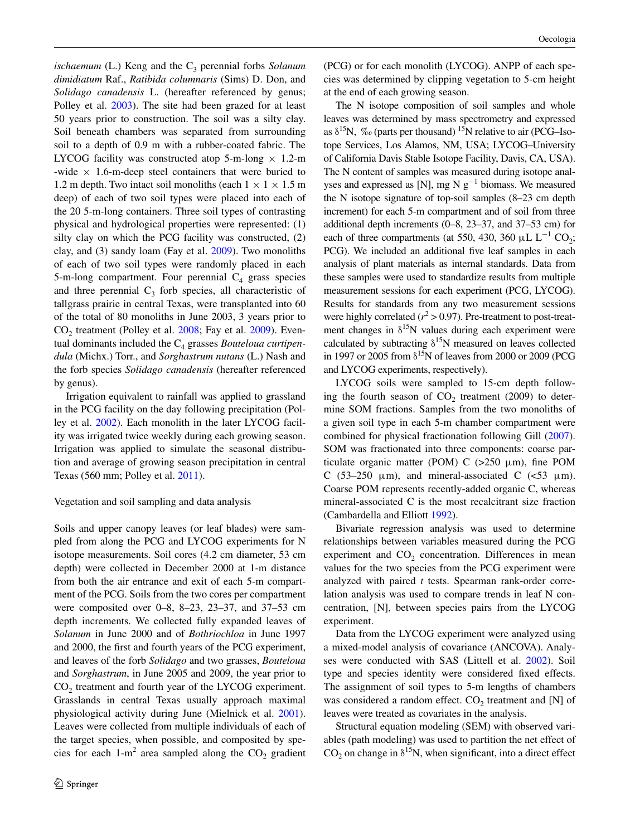*ischaemum* (L.) Keng and the C<sub>3</sub> perennial forbs *Solanum dimidiatum* Raf., *Ratibida columnaris* (Sims) D. Don, and *Solidago canadensis* L. (hereafter referenced by genus; Polley et al. [2003](#page-10-14)). The site had been grazed for at least 50 years prior to construction. The soil was a silty clay. Soil beneath chambers was separated from surrounding soil to a depth of 0.9 m with a rubber-coated fabric. The LYCOG facility was constructed atop 5-m-long  $\times$  1.2-m -wide  $\times$  1.6-m-deep steel containers that were buried to 1.2 m depth. Two intact soil monoliths (each  $1 \times 1 \times 1.5$  m deep) of each of two soil types were placed into each of the 20 5-m-long containers. Three soil types of contrasting physical and hydrological properties were represented: (1) silty clay on which the PCG facility was constructed, (2) clay, and (3) sandy loam (Fay et al. [2009\)](#page-9-9). Two monoliths of each of two soil types were randomly placed in each 5-m-long compartment. Four perennial  $C_4$  grass species and three perennial  $C_3$  forb species, all characteristic of tallgrass prairie in central Texas, were transplanted into 60 of the total of 80 monoliths in June 2003, 3 years prior to  $CO<sub>2</sub>$  treatment (Polley et al.  $2008$ ; Fay et al.  $2009$ ). Eventual dominants included the C<sub>4</sub> grasses *Bouteloua curtipendula* (Michx.) Torr., and *Sorghastrum nutans* (L.) Nash and the forb species *Solidago canadensis* (hereafter referenced by genus).

Irrigation equivalent to rainfall was applied to grassland in the PCG facility on the day following precipitation (Polley et al. [2002\)](#page-10-24). Each monolith in the later LYCOG facility was irrigated twice weekly during each growing season. Irrigation was applied to simulate the seasonal distribution and average of growing season precipitation in central Texas (560 mm; Polley et al. [2011](#page-10-16)).

## Vegetation and soil sampling and data analysis

Soils and upper canopy leaves (or leaf blades) were sampled from along the PCG and LYCOG experiments for N isotope measurements. Soil cores (4.2 cm diameter, 53 cm depth) were collected in December 2000 at 1-m distance from both the air entrance and exit of each 5-m compartment of the PCG. Soils from the two cores per compartment were composited over 0–8, 8–23, 23–37, and 37–53 cm depth increments. We collected fully expanded leaves of *Solanum* in June 2000 and of *Bothriochloa* in June 1997 and 2000, the first and fourth years of the PCG experiment, and leaves of the forb *Solidago* and two grasses, *Bouteloua* and *Sorghastrum*, in June 2005 and 2009, the year prior to CO<sub>2</sub> treatment and fourth year of the LYCOG experiment. Grasslands in central Texas usually approach maximal physiological activity during June (Mielnick et al. [2001](#page-10-25)). Leaves were collected from multiple individuals of each of the target species, when possible, and composited by species for each 1-m<sup>2</sup> area sampled along the  $CO_2$  gradient (PCG) or for each monolith (LYCOG). ANPP of each species was determined by clipping vegetation to 5-cm height at the end of each growing season.

The N isotope composition of soil samples and whole leaves was determined by mass spectrometry and expressed as  $\delta^{15}N$ , % (parts per thousand) <sup>15</sup>N relative to air (PCG–Isotope Services, Los Alamos, NM, USA; LYCOG–University of California Davis Stable Isotope Facility, Davis, CA, USA). The N content of samples was measured during isotope analyses and expressed as [N], mg N  $g^{-1}$  biomass. We measured the N isotope signature of top-soil samples (8–23 cm depth increment) for each 5-m compartment and of soil from three additional depth increments (0–8, 23–37, and 37–53 cm) for each of three compartments (at 550, 430, 360  $\mu$ L L<sup>-1</sup> CO<sub>2</sub>; PCG). We included an additional five leaf samples in each analysis of plant materials as internal standards. Data from these samples were used to standardize results from multiple measurement sessions for each experiment (PCG, LYCOG). Results for standards from any two measurement sessions were highly correlated ( $r^2$  > 0.97). Pre-treatment to post-treatment changes in  $\delta^{15}N$  values during each experiment were calculated by subtracting  $\delta^{15}N$  measured on leaves collected in 1997 or 2005 from  $\delta^{15}N$  of leaves from 2000 or 2009 (PCG and LYCOG experiments, respectively).

LYCOG soils were sampled to 15-cm depth following the fourth season of  $CO<sub>2</sub>$  treatment (2009) to determine SOM fractions. Samples from the two monoliths of a given soil type in each 5-m chamber compartment were combined for physical fractionation following Gill [\(2007](#page-9-12)). SOM was fractionated into three components: coarse particulate organic matter (POM) C  $(>250 \mu m)$ , fine POM C (53–250  $\mu$ m), and mineral-associated C (<53  $\mu$ m). Coarse POM represents recently-added organic C, whereas mineral-associated C is the most recalcitrant size fraction (Cambardella and Elliott [1992\)](#page-9-13).

Bivariate regression analysis was used to determine relationships between variables measured during the PCG experiment and  $CO<sub>2</sub>$  concentration. Differences in mean values for the two species from the PCG experiment were analyzed with paired *t* tests. Spearman rank-order correlation analysis was used to compare trends in leaf N concentration, [N], between species pairs from the LYCOG experiment.

Data from the LYCOG experiment were analyzed using a mixed-model analysis of covariance (ANCOVA). Analyses were conducted with SAS (Littell et al. [2002\)](#page-10-26). Soil type and species identity were considered fixed effects. The assignment of soil types to 5-m lengths of chambers was considered a random effect.  $CO<sub>2</sub>$  treatment and [N] of leaves were treated as covariates in the analysis.

Structural equation modeling (SEM) with observed variables (path modeling) was used to partition the net effect of  $CO<sub>2</sub>$  on change in  $\delta^{15}N$ , when significant, into a direct effect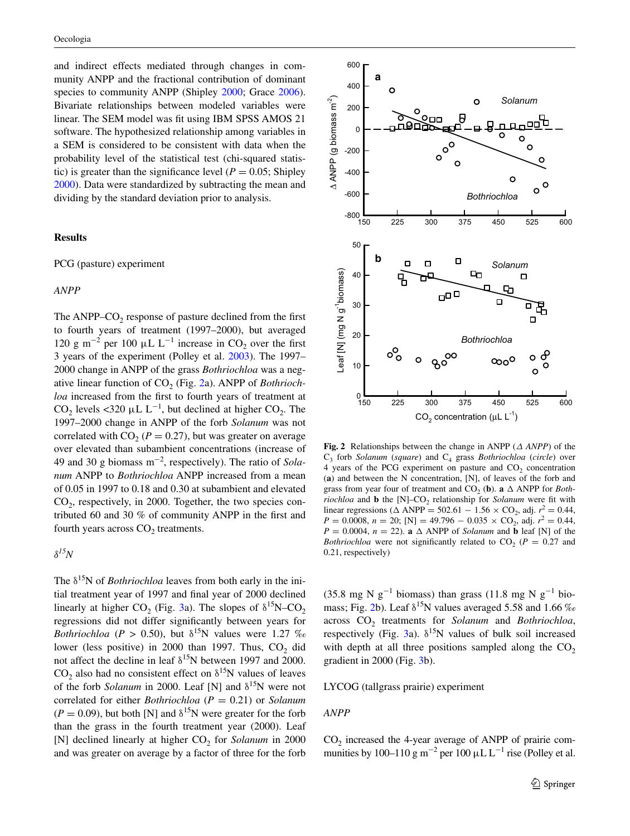and indirect effects mediated through changes in community ANPP and the fractional contribution of dominant species to community ANPP (Shipley [2000;](#page-10-27) Grace [2006](#page-10-28)). Bivariate relationships between modeled variables were linear. The SEM model was fit using IBM SPSS AMOS 21 software. The hypothesized relationship among variables in a SEM is considered to be consistent with data when the probability level of the statistical test (chi-squared statistic) is greater than the significance level ( $P = 0.05$ ; Shipley [2000](#page-10-27)). Data were standardized by subtracting the mean and dividing by the standard deviation prior to analysis.

## **Results**

#### PCG (pasture) experiment

## *ANPP*

The ANPP– $CO<sub>2</sub>$  response of pasture declined from the first to fourth years of treatment (1997–2000), but averaged 120 g m<sup>-2</sup> per 100 μL L<sup>-1</sup> increase in CO<sub>2</sub> over the first 3 years of the experiment (Polley et al. [2003\)](#page-10-14). The 1997– 2000 change in ANPP of the grass *Bothriochloa* was a neg-ative linear function of CO<sub>2</sub> (Fig. [2a](#page-4-0)). ANPP of *Bothriochloa* increased from the first to fourth years of treatment at CO<sub>2</sub> levels <320  $\mu$ L L<sup>-1</sup>, but declined at higher CO<sub>2</sub>. The 1997–2000 change in ANPP of the forb *Solanum* was not correlated with  $CO<sub>2</sub>$  ( $P = 0.27$ ), but was greater on average over elevated than subambient concentrations (increase of 49 and 30 g biomass m−<sup>2</sup> , respectively). The ratio of *Solanum* ANPP to *Bothriochloa* ANPP increased from a mean of 0.05 in 1997 to 0.18 and 0.30 at subambient and elevated  $CO<sub>2</sub>$ , respectively, in 2000. Together, the two species contributed 60 and 30 % of community ANPP in the first and fourth years across  $CO<sub>2</sub>$  treatments.

*δ15N*

The  $\delta^{15}N$  of *Bothriochloa* leaves from both early in the initial treatment year of 1997 and final year of 2000 declined linearly at higher CO<sub>2</sub> (Fig. [3](#page-5-0)a). The slopes of  $\delta^{15}N$ –CO<sub>2</sub> regressions did not differ significantly between years for *Bothriochloa* ( $P > 0.50$ ), but  $\delta^{15}N$  values were 1.27 ‰ lower (less positive) in 2000 than 1997. Thus,  $CO<sub>2</sub>$  did not affect the decline in leaf  $\delta^{15}N$  between 1997 and 2000.  $CO<sub>2</sub>$  also had no consistent effect on  $\delta^{15}N$  values of leaves of the forb *Solanum* in 2000. Leaf [N] and  $\delta^{15}$ N were not correlated for either *Bothriochloa* (*P* = 0.21) or *Solanum*  $(P = 0.09)$ , but both [N] and  $\delta^{15}$ N were greater for the forb than the grass in the fourth treatment year (2000). Leaf [N] declined linearly at higher CO<sub>2</sub> for *Solanum* in 2000 and was greater on average by a factor of three for the forb



<span id="page-4-0"></span>**Fig. 2** Relationships between the change in ANPP (*∆ ANPP*) of the  $C_3$  forb *Solanum* (*square*) and  $C_4$  grass *Bothriochloa* (*circle*) over  $4$  years of the PCG experiment on pasture and  $CO<sub>2</sub>$  concentration (**a**) and between the N concentration, [N], of leaves of the forb and grass from year four of treatment and  $CO_2$  (**b**). **a**  $\triangle$  ANPP for *Bothriochloa* and **b** the  $[N]$ – $CO<sub>2</sub>$  relationship for *Solanum* were fit with linear regressions ( $\triangle$  ANPP = 502.61 − 1.56 × CO<sub>2</sub>, adj.  $r^2 = 0.44$ ,  $P = 0.0008$ ,  $n = 20$ ; [N] = 49.796 – 0.035 × CO<sub>2</sub>, adj.  $r^2 = 0.44$ ,  $P = 0.0004$ ,  $n = 22$ ). **a**  $\triangle$  ANPP of *Solanum* and **b** leaf [N] of the *Bothriochloa* were not significantly related to  $CO_2$  ( $P = 0.27$  and 0.21, respectively)

(35.8 mg N g<sup>-1</sup> biomass) than grass (11.8 mg N g<sup>-1</sup> bio-mass; Fig. [2](#page-4-0)b). Leaf  $\delta^{15}N$  values averaged 5.58 and 1.66 ‰ across CO<sub>2</sub> treatments for *Solanum* and *Bothriochloa*, respectively (Fig. [3a](#page-5-0)).  $\delta^{15}N$  values of bulk soil increased with depth at all three positions sampled along the  $CO<sub>2</sub>$ gradient in 2000 (Fig. [3b](#page-5-0)).

LYCOG (tallgrass prairie) experiment

#### *ANPP*

 $CO<sub>2</sub>$  increased the 4-year average of ANPP of prairie communities by 100–110 g m<sup>-2</sup> per 100  $\mu$ L L<sup>-1</sup> rise (Polley et al.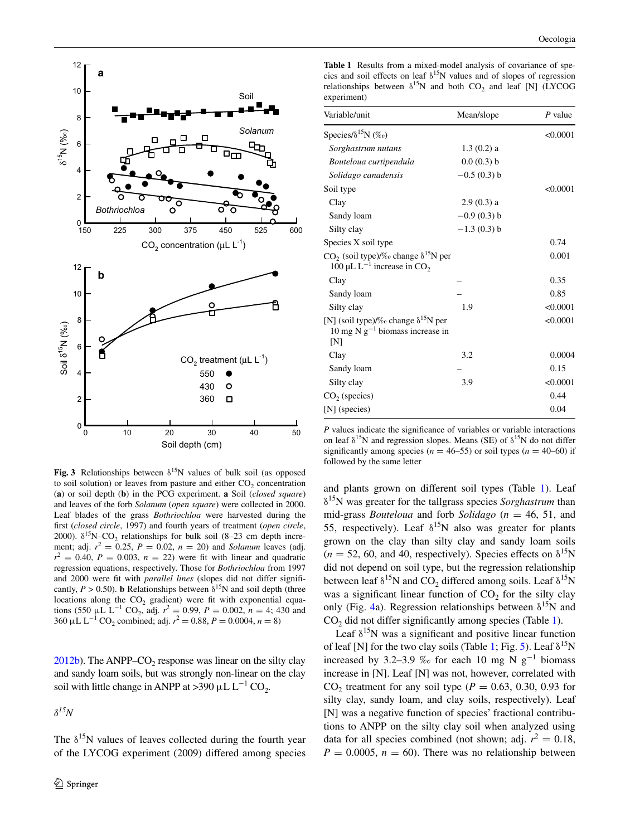

<span id="page-5-0"></span>**Fig. 3** Relationships between  $\delta^{15}N$  values of bulk soil (as opposed to soil solution) or leaves from pasture and either  $CO<sub>2</sub>$  concentration (**a**) or soil depth (**b**) in the PCG experiment. **a** Soil (*closed square*) and leaves of the forb *Solanum* (*open square*) were collected in 2000. Leaf blades of the grass *Bothriochloa* were harvested during the first (*closed circle*, 1997) and fourth years of treatment (*open circle*, 2000).  $\delta^{15}N$ –CO<sub>2</sub> relationships for bulk soil (8–23 cm depth increment; adj.  $r^2 = 0.25$ ,  $P = 0.02$ ,  $n = 20$ ) and *Solanum* leaves (adj.  $r^2 = 0.40$ ,  $P = 0.003$ ,  $n = 22$ ) were fit with linear and quadratic regression equations, respectively. Those for *Bothriochloa* from 1997 and 2000 were fit with *parallel lines* (slopes did not differ significantly,  $P > 0.50$ ). **b** Relationships between  $\delta^{15}N$  and soil depth (three locations along the  $CO<sub>2</sub>$  gradient) were fit with exponential equations (550 µL L<sup>-1</sup> CO<sub>2</sub>, adj.  $r^2 = 0.99$ ,  $P = 0.002$ ,  $n = 4$ ; 430 and 360  $\mu$ L L<sup>-1</sup> CO<sub>2</sub> combined; adj.  $r^2 = 0.88$ ,  $P = 0.0004$ ,  $n = 8$ )

 $2012b$ ). The ANPP–CO<sub>2</sub> response was linear on the silty clay and sandy loam soils, but was strongly non-linear on the clay soil with little change in ANPP at >390  $\mu$ L L<sup>-1</sup> CO<sub>2</sub>.

*δ15N*

The  $\delta^{15}N$  values of leaves collected during the fourth year of the LYCOG experiment (2009) differed among species

<span id="page-5-1"></span>**Table 1** Results from a mixed-model analysis of covariance of species and soil effects on leaf  $\delta^{15}N$  values and of slopes of regression relationships between  $\delta^{15}N$  and both CO<sub>2</sub> and leaf [N] (LYCOG experiment)

| Variable/unit                                                                                        | Mean/slope    | $P$ value |
|------------------------------------------------------------------------------------------------------|---------------|-----------|
| Species/ $\delta^{15}N$ (%o)                                                                         |               | < 0.0001  |
| Sorghastrum nutans                                                                                   | $1.3(0.2)$ a  |           |
| Bouteloua curtipendula                                                                               | 0.0(0.3) b    |           |
| Solidago canadensis                                                                                  | $-0.5(0.3)$ b |           |
| Soil type                                                                                            |               | < 0.0001  |
| Clay                                                                                                 | $2.9(0.3)$ a  |           |
| Sandy loam                                                                                           | $-0.9(0.3)$ b |           |
| Silty clay                                                                                           | $-1.3(0.3)$ b |           |
| Species X soil type                                                                                  |               | 0.74      |
| $CO_2$ (soil type)/% change $\delta^{15}N$ per<br>100 µL L <sup>-1</sup> increase in CO <sub>2</sub> |               | 0.001     |
| Clay                                                                                                 |               | 0.35      |
| Sandy loam                                                                                           |               | 0.85      |
| Silty clay                                                                                           | 1.9           | < 0.0001  |
| [N] (soil type)/% change $\delta^{15}$ N per<br>10 mg N $g^{-1}$ biomass increase in<br>[N]          |               | < 0.0001  |
| Clay                                                                                                 | 3.2           | 0.0004    |
| Sandy loam                                                                                           |               | 0.15      |
| Silty clay                                                                                           | 3.9           | < 0.0001  |
| $CO2$ (species)                                                                                      |               | 0.44      |
| [N] (species)                                                                                        |               | 0.04      |

*P* values indicate the significance of variables or variable interactions on leaf  $\delta^{15}N$  and regression slopes. Means (SE) of  $\delta^{15}N$  do not differ significantly among species ( $n = 46-55$ ) or soil types ( $n = 40-60$ ) if followed by the same letter

and plants grown on different soil types (Table [1\)](#page-5-1). Leaf δ15N was greater for the tallgrass species *Sorghastrum* than mid-grass *Bouteloua* and forb *Solidago* (*n* = 46, 51, and 55, respectively). Leaf  $\delta^{15}N$  also was greater for plants grown on the clay than silty clay and sandy loam soils  $(n = 52, 60, \text{ and } 40, \text{ respectively})$ . Species effects on  $\delta^{15}N$ did not depend on soil type, but the regression relationship between leaf  $\delta^{15}N$  and CO<sub>2</sub> differed among soils. Leaf  $\delta^{15}N$ was a significant linear function of  $CO<sub>2</sub>$  for the silty clay only (Fig. [4a](#page-6-0)). Regression relationships between  $\delta^{15}N$  and  $CO<sub>2</sub>$  did not differ significantly among species (Table [1\)](#page-5-1).

Leaf  $\delta^{15}N$  was a significant and positive linear function of leaf [N] for the two clay soils (Table [1;](#page-5-1) Fig. [5\)](#page-6-1). Leaf  $\delta^{15}N$ increased by 3.2–3.9 ‰ for each 10 mg N  $g^{-1}$  biomass increase in [N]. Leaf [N] was not, however, correlated with CO<sub>2</sub> treatment for any soil type ( $P = 0.63, 0.30, 0.93$  for silty clay, sandy loam, and clay soils, respectively). Leaf [N] was a negative function of species' fractional contributions to ANPP on the silty clay soil when analyzed using data for all species combined (not shown; adj.  $r^2 = 0.18$ ,  $P = 0.0005$ ,  $n = 60$ ). There was no relationship between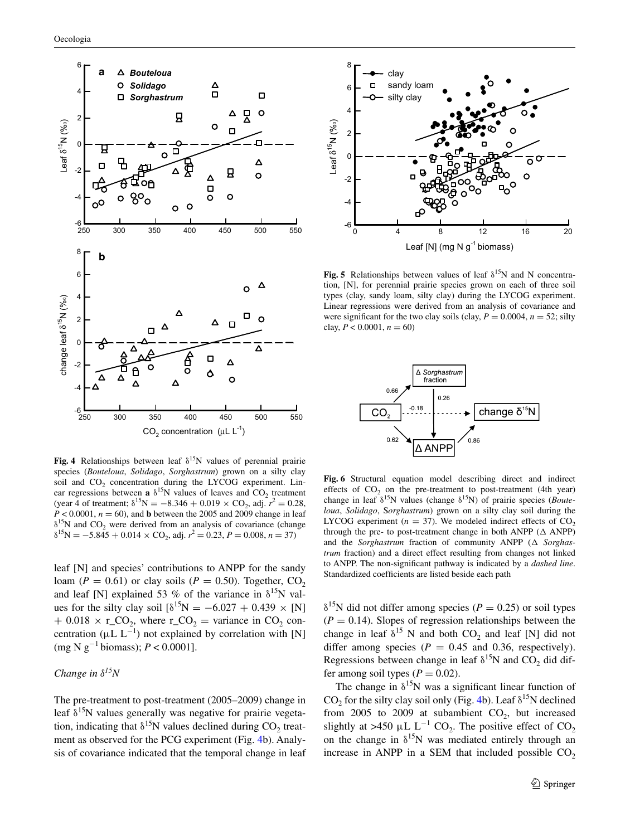



<span id="page-6-1"></span>**Fig. 5** Relationships between values of leaf  $\delta^{15}N$  and N concentration, [N], for perennial prairie species grown on each of three soil types (clay, sandy loam, silty clay) during the LYCOG experiment. Linear regressions were derived from an analysis of covariance and were significant for the two clay soils (clay,  $P = 0.0004$ ,  $n = 52$ ; silty clay,  $P < 0.0001$ ,  $n = 60$ )



<span id="page-6-0"></span>**Fig. 4** Relationships between leaf  $\delta^{15}N$  values of perennial prairie species (*Bouteloua*, *Solidago*, *Sorghastrum*) grown on a silty clay soil and CO<sub>2</sub> concentration during the LYCOG experiment. Linear regressions between **a**  $\delta^{15}$ N values of leaves and CO<sub>2</sub> treatment (year 4 of treatment;  $\delta^{15}N = -8.346 + 0.019 \times CO_2$ , adj.  $r^2 = 0.28$ ,  $P < 0.0001$ ,  $n = 60$ ), and **b** between the 2005 and 2009 change in leaf  $\delta^{15}N$  and CO<sub>2</sub> were derived from an analysis of covariance (change  $\delta^{15}N = -5.845 + 0.014 \times CO_2$ , adj.  $r^2 = 0.23$ ,  $P = 0.008$ ,  $n = 37$ )

leaf [N] and species' contributions to ANPP for the sandy loam ( $P = 0.61$ ) or clay soils ( $P = 0.50$ ). Together, CO<sub>2</sub> and leaf [N] explained 53 % of the variance in  $\delta^{15}$ N values for the silty clay soil  $\delta^{15}N = -6.027 + 0.439 \times [N]$  $+ 0.018 \times r\_CO_2$ , where  $r\_CO_2$  = variance in CO<sub>2</sub> concentration ( $\mu$ L L<sup>-1</sup>) not explained by correlation with [N] (mg N g−<sup>1</sup> biomass); *P* < 0.0001].

# *Change in δ15N*

The pre-treatment to post-treatment (2005–2009) change in leaf  $\delta^{15}N$  values generally was negative for prairie vegetation, indicating that  $\delta^{15}N$  values declined during CO<sub>2</sub> treatment as observed for the PCG experiment (Fig. [4](#page-6-0)b). Analysis of covariance indicated that the temporal change in leaf

<span id="page-6-2"></span>**Fig. 6** Structural equation model describing direct and indirect effects of  $CO<sub>2</sub>$  on the pre-treatment to post-treatment (4th year) change in leaf δ15N values (change δ15N) of prairie species (*Bouteloua*, *Solidago*, S*orghastrum*) grown on a silty clay soil during the LYCOG experiment ( $n = 37$ ). We modeled indirect effects of CO<sub>2</sub> through the pre- to post-treatment change in both ANPP ( $\Delta$  ANPP) and the *Sorghastrum* fraction of community ANPP (∆ *Sorghastrum* fraction) and a direct effect resulting from changes not linked to ANPP. The non-significant pathway is indicated by a *dashed line*. Standardized coefficients are listed beside each path

 $\delta^{15}$ N did not differ among species (*P* = 0.25) or soil types  $(P = 0.14)$ . Slopes of regression relationships between the change in leaf  $\delta^{15}$  N and both CO<sub>2</sub> and leaf [N] did not differ among species ( $P = 0.45$  and 0.36, respectively). Regressions between change in leaf  $\delta^{15}N$  and CO<sub>2</sub> did differ among soil types  $(P = 0.02)$ .

The change in  $\delta^{15}N$  was a significant linear function of CO<sub>2</sub> for the silty clay soil only (Fig. [4b](#page-6-0)). Leaf  $\delta^{15}N$  declined from 2005 to 2009 at subambient  $CO<sub>2</sub>$ , but increased slightly at >450 µL  $L^{-1}$  CO<sub>2</sub>. The positive effect of CO<sub>2</sub> on the change in  $\delta^{15}N$  was mediated entirely through an increase in ANPP in a SEM that included possible  $CO<sub>2</sub>$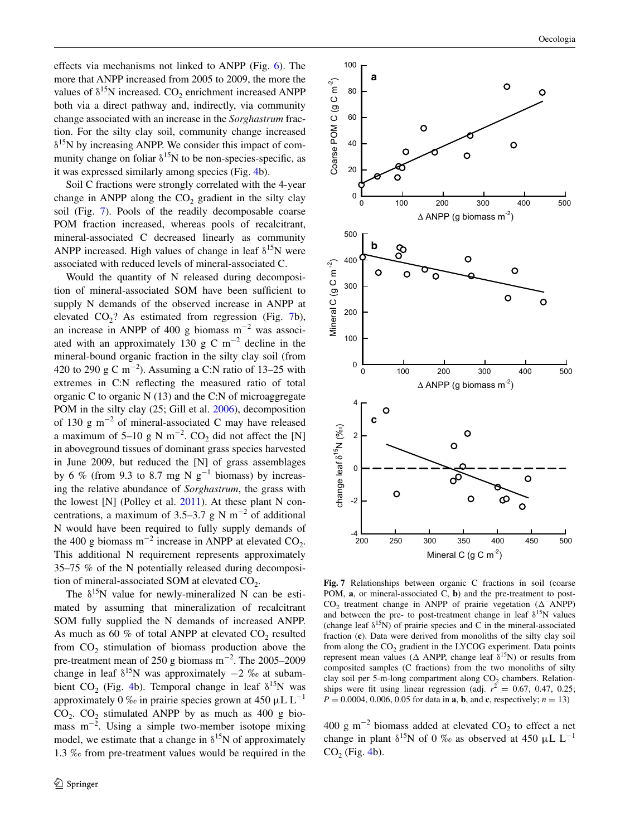effects via mechanisms not linked to ANPP (Fig. [6](#page-6-2)). The more that ANPP increased from 2005 to 2009, the more the values of  $\delta^{15}N$  increased. CO<sub>2</sub> enrichment increased ANPP both via a direct pathway and, indirectly, via community change associated with an increase in the *Sorghastrum* fraction. For the silty clay soil, community change increased  $\delta^{15}$ N by increasing ANPP. We consider this impact of community change on foliar  $\delta^{15}N$  to be non-species-specific, as it was expressed similarly among species (Fig. [4b](#page-6-0)).

Soil C fractions were strongly correlated with the 4-year change in ANPP along the  $CO<sub>2</sub>$  gradient in the silty clay soil (Fig. [7\)](#page-7-0). Pools of the readily decomposable coarse POM fraction increased, whereas pools of recalcitrant, mineral-associated C decreased linearly as community ANPP increased. High values of change in leaf  $\delta^{15}N$  were associated with reduced levels of mineral-associated C.

Would the quantity of N released during decomposition of mineral-associated SOM have been sufficient to supply N demands of the observed increase in ANPP at elevated  $CO<sub>2</sub>$ ? As estimated from regression (Fig. [7](#page-7-0)b), an increase in ANPP of 400 g biomass  $m^{-2}$  was associated with an approximately 130 g C m<sup>-2</sup> decline in the mineral-bound organic fraction in the silty clay soil (from 420 to 290 g C m<sup>-2</sup>). Assuming a C:N ratio of 13–25 with extremes in C:N reflecting the measured ratio of total organic C to organic N (13) and the C:N of microaggregate POM in the silty clay (25; Gill et al. [2006](#page-9-1)), decomposition of 130 g m<sup>-2</sup> of mineral-associated C may have released a maximum of 5–10 g N m<sup>-2</sup>. CO<sub>2</sub> did not affect the [N] in aboveground tissues of dominant grass species harvested in June 2009, but reduced the [N] of grass assemblages by 6 % (from 9.3 to 8.7 mg N  $g^{-1}$  biomass) by increasing the relative abundance of *Sorghastrum*, the grass with the lowest [N] (Polley et al. [2011](#page-10-16)). At these plant N concentrations, a maximum of 3.5–3.7 g N m<sup>-2</sup> of additional N would have been required to fully supply demands of the 400 g biomass  $m^{-2}$  increase in ANPP at elevated  $CO_2$ . This additional N requirement represents approximately 35–75 % of the N potentially released during decomposition of mineral-associated SOM at elevated  $CO<sub>2</sub>$ .

The  $\delta^{15}N$  value for newly-mineralized N can be estimated by assuming that mineralization of recalcitrant SOM fully supplied the N demands of increased ANPP. As much as 60 % of total ANPP at elevated  $CO<sub>2</sub>$  resulted from  $CO<sub>2</sub>$  stimulation of biomass production above the pre-treatment mean of 250 g biomass m<sup>-2</sup>. The 2005–2009 change in leaf  $\delta^{15}N$  was approximately  $-2$  ‰ at subam-bient CO<sub>2</sub> (Fig. [4b](#page-6-0)). Temporal change in leaf  $\delta^{15}N$  was approximately 0 ‰ in prairie species grown at 450  $\mu$ L L<sup>-1</sup>  $CO<sub>2</sub>$ .  $CO<sub>2</sub>$  stimulated ANPP by as much as 400 g biomass  $m^{-2}$ . Using a simple two-member isotope mixing model, we estimate that a change in  $\delta^{15}N$  of approximately 1.3 ‰ from pre-treatment values would be required in the



<span id="page-7-0"></span>**Fig. 7** Relationships between organic C fractions in soil (coarse POM, **a**, or mineral-associated C, **b**) and the pre-treatment to post-CO<sub>2</sub> treatment change in ANPP of prairie vegetation ( $\Delta$  ANPP) and between the pre- to post-treatment change in leaf  $\delta^{15}N$  values (change leaf  $\delta^{15}N$ ) of prairie species and C in the mineral-associated fraction (**c**). Data were derived from monoliths of the silty clay soil from along the  $CO<sub>2</sub>$  gradient in the LYCOG experiment. Data points represent mean values ( $\Delta$  ANPP, change leaf  $\delta^{15}N$ ) or results from composited samples (C fractions) from the two monoliths of silty clay soil per 5-m-long compartment along  $CO<sub>2</sub>$  chambers. Relationships were fit using linear regression (adj.  $r^2 = 0.67, 0.47, 0.25$ ; *P* = 0.0004, 0.006, 0.05 for data in **a**, **b**, and **c**, respectively; *n* = 13)

400 g m<sup>-2</sup> biomass added at elevated  $CO_2$  to effect a net change in plant  $\delta^{15}N$  of 0 ‰ as observed at 450 µL L<sup>-1</sup>  $CO<sub>2</sub>$  (Fig. [4b](#page-6-0)).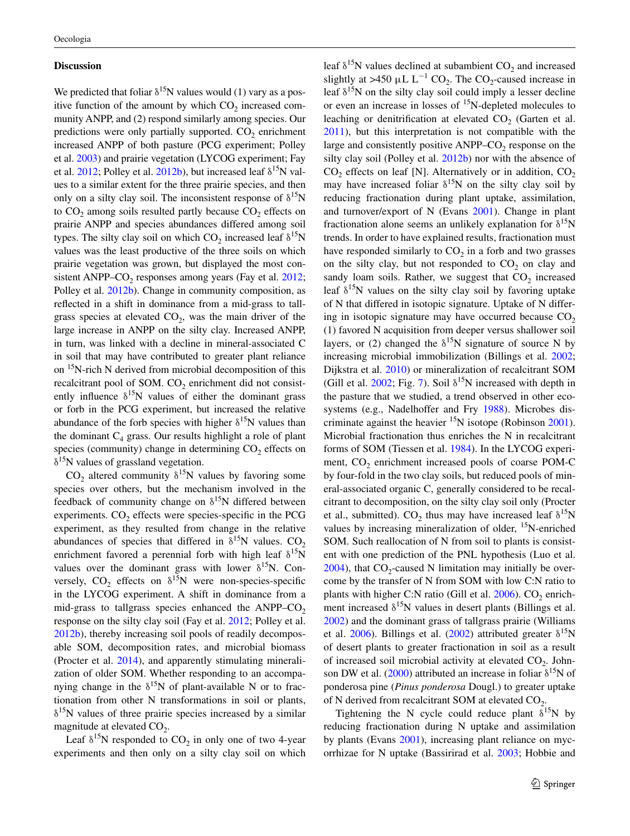#### **Discussion**

We predicted that foliar  $\delta^{15}N$  values would (1) vary as a positive function of the amount by which  $CO<sub>2</sub>$  increased community ANPP, and (2) respond similarly among species. Our predictions were only partially supported.  $CO<sub>2</sub>$  enrichment increased ANPP of both pasture (PCG experiment; Polley et al. [2003](#page-10-14)) and prairie vegetation (LYCOG experiment; Fay et al.  $2012$ ; Polley et al.  $2012b$ ), but increased leaf  $\delta^{15}N$  values to a similar extent for the three prairie species, and then only on a silty clay soil. The inconsistent response of  $\delta^{15}N$ to  $CO<sub>2</sub>$  among soils resulted partly because  $CO<sub>2</sub>$  effects on prairie ANPP and species abundances differed among soil types. The silty clay soil on which  $CO<sub>2</sub>$  increased leaf  $\delta^{15}N$ values was the least productive of the three soils on which prairie vegetation was grown, but displayed the most consistent ANPP– $CO<sub>2</sub>$  responses among years (Fay et al. [2012](#page-9-11); Polley et al. [2012b](#page-10-20)). Change in community composition, as reflected in a shift in dominance from a mid-grass to tallgrass species at elevated  $CO<sub>2</sub>$ , was the main driver of the large increase in ANPP on the silty clay. Increased ANPP, in turn, was linked with a decline in mineral-associated C in soil that may have contributed to greater plant reliance on <sup>15</sup>N-rich N derived from microbial decomposition of this recalcitrant pool of SOM. CO<sub>2</sub> enrichment did not consistently influence  $\delta^{15}$ N values of either the dominant grass or forb in the PCG experiment, but increased the relative abundance of the forb species with higher  $\delta^{15}N$  values than the dominant  $C_4$  grass. Our results highlight a role of plant species (community) change in determining  $CO<sub>2</sub>$  effects on  $\delta^{15}$ N values of grassland vegetation.

CO<sub>2</sub> altered community  $\delta^{15}N$  values by favoring some species over others, but the mechanism involved in the feedback of community change on  $\delta^{15}N$  differed between experiments.  $CO<sub>2</sub>$  effects were species-specific in the PCG experiment, as they resulted from change in the relative abundances of species that differed in  $\delta^{15}N$  values. CO<sub>2</sub> enrichment favored a perennial forb with high leaf  $\delta^{15}$ N values over the dominant grass with lower  $\delta^{15}N$ . Conversely, CO<sub>2</sub> effects on  $\delta^{15}N$  were non-species-specific in the LYCOG experiment. A shift in dominance from a mid-grass to tallgrass species enhanced the  $ANPP-CO<sub>2</sub>$ response on the silty clay soil (Fay et al. [2012;](#page-9-11) Polley et al. [2012b](#page-10-20)), thereby increasing soil pools of readily decomposable SOM, decomposition rates, and microbial biomass (Procter et al. [2014\)](#page-10-18), and apparently stimulating mineralization of older SOM. Whether responding to an accompanying change in the  $\delta^{15}N$  of plant-available N or to fractionation from other N transformations in soil or plants,  $\delta^{15}$ N values of three prairie species increased by a similar magnitude at elevated  $CO<sub>2</sub>$ .

Leaf  $\delta^{15}N$  responded to CO<sub>2</sub> in only one of two 4-year experiments and then only on a silty clay soil on which

leaf  $\delta^{15}N$  values declined at subambient CO<sub>2</sub> and increased slightly at >450  $\mu$ L L<sup>-1</sup> CO<sub>2</sub>. The CO<sub>2</sub>-caused increase in leaf  $\delta^{15}$ N on the silty clay soil could imply a lesser decline or even an increase in losses of 15N-depleted molecules to leaching or denitrification at elevated  $CO<sub>2</sub>$  (Garten et al. [2011](#page-9-4)), but this interpretation is not compatible with the large and consistently positive  $ANPP-CO<sub>2</sub>$  response on the silty clay soil (Polley et al. [2012b\)](#page-10-20) nor with the absence of  $CO<sub>2</sub>$  effects on leaf [N]. Alternatively or in addition,  $CO<sub>2</sub>$ may have increased foliar  $\delta^{15}N$  on the silty clay soil by reducing fractionation during plant uptake, assimilation, and turnover/export of N (Evans [2001](#page-9-5)). Change in plant fractionation alone seems an unlikely explanation for  $\delta^{15}N$ trends. In order to have explained results, fractionation must have responded similarly to  $CO<sub>2</sub>$  in a forb and two grasses on the silty clay, but not responded to  $CO<sub>2</sub>$  on clay and sandy loam soils. Rather, we suggest that  $CO<sub>2</sub>$  increased leaf  $\delta^{15}$ N values on the silty clay soil by favoring uptake of N that differed in isotopic signature. Uptake of N differing in isotopic signature may have occurred because  $CO<sub>2</sub>$ (1) favored N acquisition from deeper versus shallower soil layers, or (2) changed the  $\delta^{15}N$  signature of source N by increasing microbial immobilization (Billings et al. [2002](#page-9-2); Dijkstra et al. [2010\)](#page-9-8) or mineralization of recalcitrant SOM (Gill et al. [2002;](#page-9-7) Fig. [7](#page-7-0)). Soil  $\delta^{15}N$  increased with depth in the pasture that we studied, a trend observed in other ecosystems (e.g., Nadelhoffer and Fry [1988\)](#page-10-29). Microbes discriminate against the heavier  $^{15}N$  isotope (Robinson [2001](#page-10-1)). Microbial fractionation thus enriches the N in recalcitrant forms of SOM (Tiessen et al. [1984\)](#page-10-8). In the LYCOG experiment,  $CO<sub>2</sub>$  enrichment increased pools of coarse POM-C by four-fold in the two clay soils, but reduced pools of mineral-associated organic C, generally considered to be recalcitrant to decomposition, on the silty clay soil only (Procter et al., submitted). CO<sub>2</sub> thus may have increased leaf  $\delta^{15}N$ values by increasing mineralization of older, <sup>15</sup>N-enriched SOM. Such reallocation of N from soil to plants is consistent with one prediction of the PNL hypothesis (Luo et al.  $2004$ ), that  $CO<sub>2</sub>$ -caused N limitation may initially be overcome by the transfer of N from SOM with low C:N ratio to plants with higher C:N ratio (Gill et al.  $2006$ ). CO<sub>2</sub> enrichment increased  $\delta^{15}N$  values in desert plants (Billings et al. [2002](#page-9-2)) and the dominant grass of tallgrass prairie (Williams et al. [2006\)](#page-10-30). Billings et al. ([2002\)](#page-9-2) attributed greater  $\delta^{15}N$ of desert plants to greater fractionation in soil as a result of increased soil microbial activity at elevated  $CO<sub>2</sub>$ . John-son DW et al. ([2000\)](#page-10-7) attributed an increase in foliar  $\delta^{15}N$  of ponderosa pine (*Pinus ponderosa* Dougl.) to greater uptake of N derived from recalcitrant SOM at elevated  $CO<sub>2</sub>$ .

Tightening the N cycle could reduce plant  $\delta^{15}N$  by reducing fractionation during N uptake and assimilation by plants (Evans [2001\)](#page-9-5), increasing plant reliance on mycorrhizae for N uptake (Bassirirad et al. [2003](#page-9-3); Hobbie and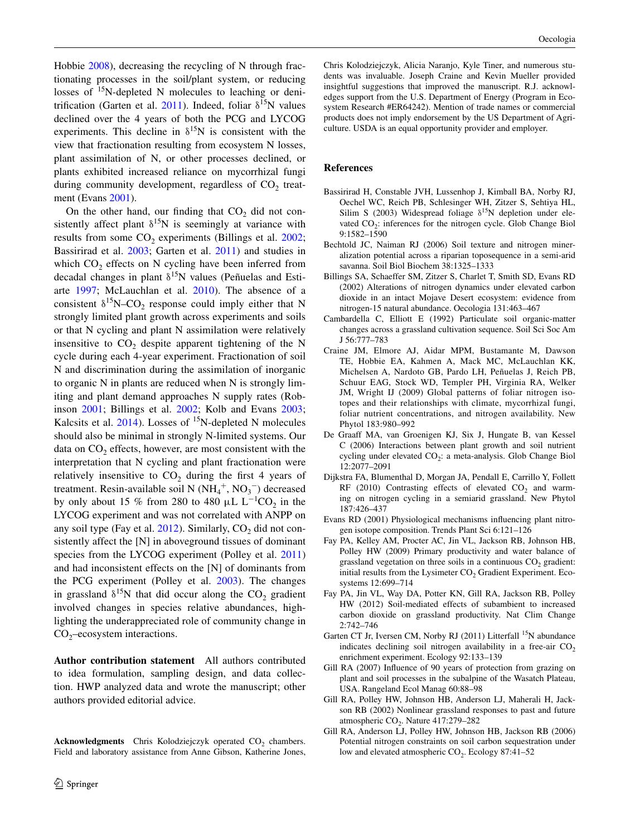Hobbie [2008\)](#page-10-9), decreasing the recycling of N through fractionating processes in the soil/plant system, or reducing losses of <sup>15</sup>N-depleted N molecules to leaching or deni-trification (Garten et al. [2011\)](#page-9-4). Indeed, foliar  $\delta^{15}N$  values declined over the 4 years of both the PCG and LYCOG experiments. This decline in  $\delta^{15}N$  is consistent with the view that fractionation resulting from ecosystem N losses, plant assimilation of N, or other processes declined, or plants exhibited increased reliance on mycorrhizal fungi during community development, regardless of  $CO<sub>2</sub>$  treatment (Evans [2001\)](#page-9-5).

On the other hand, our finding that  $CO<sub>2</sub>$  did not consistently affect plant  $\delta^{15}N$  is seemingly at variance with results from some  $CO<sub>2</sub>$  experiments (Billings et al.  $2002$ ; Bassirirad et al. [2003;](#page-9-3) Garten et al. [2011\)](#page-9-4) and studies in which  $CO<sub>2</sub>$  effects on N cycling have been inferred from decadal changes in plant  $\delta^{15}N$  values (Peñuelas and Estiarte [1997](#page-10-31); McLauchlan et al. [2010\)](#page-10-32). The absence of a consistent  $\delta^{15}N$ –CO<sub>2</sub> response could imply either that N strongly limited plant growth across experiments and soils or that N cycling and plant N assimilation were relatively insensitive to  $CO<sub>2</sub>$  despite apparent tightening of the N cycle during each 4-year experiment. Fractionation of soil N and discrimination during the assimilation of inorganic to organic N in plants are reduced when N is strongly limiting and plant demand approaches N supply rates (Robinson [2001](#page-10-1); Billings et al. [2002](#page-9-2); Kolb and Evans [2003](#page-10-33); Kalcsits et al.  $2014$ ). Losses of <sup>15</sup>N-depleted N molecules should also be minimal in strongly N-limited systems. Our data on  $CO<sub>2</sub>$  effects, however, are most consistent with the interpretation that N cycling and plant fractionation were relatively insensitive to  $CO<sub>2</sub>$  during the first 4 years of treatment. Resin-available soil N  $(NH_4^+, NO_3^-)$  decreased by only about 15 % from 280 to 480  $\mu$ L L<sup>-1</sup>CO<sub>2</sub> in the LYCOG experiment and was not correlated with ANPP on any soil type (Fay et al.  $2012$ ). Similarly,  $CO<sub>2</sub>$  did not consistently affect the [N] in aboveground tissues of dominant species from the LYCOG experiment (Polley et al. [2011\)](#page-10-16) and had inconsistent effects on the [N] of dominants from the PCG experiment (Polley et al. [2003](#page-10-14)). The changes in grassland  $\delta^{15}N$  that did occur along the CO<sub>2</sub> gradient involved changes in species relative abundances, highlighting the underappreciated role of community change in  $CO<sub>2</sub>$ –ecosystem interactions.

**Author contribution statement** All authors contributed to idea formulation, sampling design, and data collection. HWP analyzed data and wrote the manuscript; other authors provided editorial advice.

**Acknowledgments** Chris Kolodziejczyk operated CO<sub>2</sub> chambers. Field and laboratory assistance from Anne Gibson, Katherine Jones, Chris Kolodziejczyk, Alicia Naranjo, Kyle Tiner, and numerous students was invaluable. Joseph Craine and Kevin Mueller provided insightful suggestions that improved the manuscript. R.J. acknowledges support from the U.S. Department of Energy (Program in Ecosystem Research #ER64242). Mention of trade names or commercial products does not imply endorsement by the US Department of Agriculture. USDA is an equal opportunity provider and employer.

## **References**

- <span id="page-9-3"></span>Bassirirad H, Constable JVH, Lussenhop J, Kimball BA, Norby RJ, Oechel WC, Reich PB, Schlesinger WH, Zitzer S, Sehtiya HL, Silim S (2003) Widespread foliage  $\delta^{15}N$  depletion under elevated CO<sub>2</sub>: inferences for the nitrogen cycle. Glob Change Biol 9:1582–1590
- <span id="page-9-10"></span>Bechtold JC, Naiman RJ (2006) Soil texture and nitrogen mineralization potential across a riparian toposequence in a semi-arid savanna. Soil Biol Biochem 38:1325–1333
- <span id="page-9-2"></span>Billings SA, Schaeffer SM, Zitzer S, Charlet T, Smith SD, Evans RD (2002) Alterations of nitrogen dynamics under elevated carbon dioxide in an intact Mojave Desert ecosystem: evidence from nitrogen-15 natural abundance. Oecologia 131:463–467
- <span id="page-9-13"></span>Cambardella C, Elliott E (1992) Particulate soil organic-matter changes across a grassland cultivation sequence. Soil Sci Soc Am J 56:777–783
- <span id="page-9-6"></span>Craine JM, Elmore AJ, Aidar MPM, Bustamante M, Dawson TE, Hobbie EA, Kahmen A, Mack MC, McLauchlan KK, Michelsen A, Nardoto GB, Pardo LH, Peñuelas J, Reich PB, Schuur EAG, Stock WD, Templer PH, Virginia RA, Welker JM, Wright IJ (2009) Global patterns of foliar nitrogen isotopes and their relationships with climate, mycorrhizal fungi, foliar nutrient concentrations, and nitrogen availability. New Phytol 183:980–992
- <span id="page-9-0"></span>De Graaff MA, van Groenigen KJ, Six J, Hungate B, van Kessel C (2006) Interactions between plant growth and soil nutrient cycling under elevated  $CO<sub>2</sub>$ : a meta-analysis. Glob Change Biol 12:2077–2091
- <span id="page-9-8"></span>Dijkstra FA, Blumenthal D, Morgan JA, Pendall E, Carrillo Y, Follett RF (2010) Contrasting effects of elevated  $CO<sub>2</sub>$  and warming on nitrogen cycling in a semiarid grassland. New Phytol 187:426–437
- <span id="page-9-5"></span>Evans RD (2001) Physiological mechanisms influencing plant nitrogen isotope composition. Trends Plant Sci 6:121–126
- <span id="page-9-9"></span>Fay PA, Kelley AM, Procter AC, Jin VL, Jackson RB, Johnson HB, Polley HW (2009) Primary productivity and water balance of grassland vegetation on three soils in a continuous  $CO<sub>2</sub>$  gradient: initial results from the Lysimeter  $CO<sub>2</sub>$  Gradient Experiment. Ecosystems 12:699–714
- <span id="page-9-11"></span>Fay PA, Jin VL, Way DA, Potter KN, Gill RA, Jackson RB, Polley HW (2012) Soil-mediated effects of subambient to increased carbon dioxide on grassland productivity. Nat Clim Change 2:742–746
- <span id="page-9-4"></span>Garten CT Jr, Iversen CM, Norby RJ (2011) Litterfall <sup>15</sup>N abundance indicates declining soil nitrogen availability in a free-air  $CO<sub>2</sub>$ enrichment experiment. Ecology 92:133–139
- <span id="page-9-12"></span>Gill RA (2007) Influence of 90 years of protection from grazing on plant and soil processes in the subalpine of the Wasatch Plateau, USA. Rangeland Ecol Manag 60:88–98
- <span id="page-9-7"></span>Gill RA, Polley HW, Johnson HB, Anderson LJ, Maherali H, Jackson RB (2002) Nonlinear grassland responses to past and future atmospheric CO<sub>2</sub>. Nature 417:279-282
- <span id="page-9-1"></span>Gill RA, Anderson LJ, Polley HW, Johnson HB, Jackson RB (2006) Potential nitrogen constraints on soil carbon sequestration under low and elevated atmospheric CO<sub>2</sub>. Ecology 87:41-52